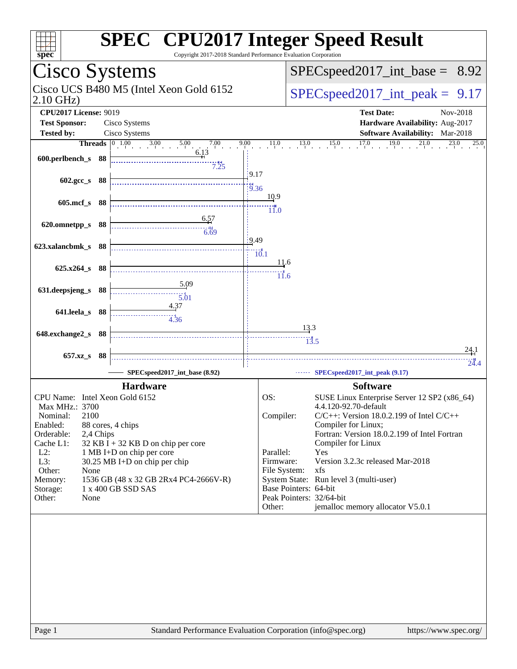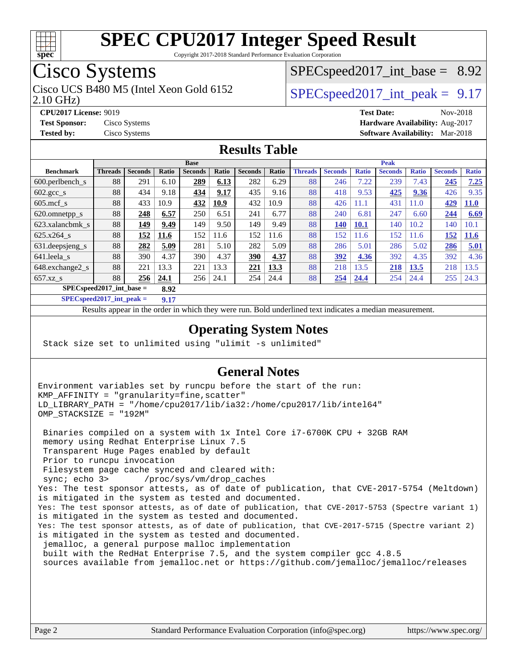

Copyright 2017-2018 Standard Performance Evaluation Corporation

## Cisco Systems

2.10 GHz) Cisco UCS B480 M5 (Intel Xeon Gold 6152  $\vert$  [SPECspeed2017\\_int\\_peak =](http://www.spec.org/auto/cpu2017/Docs/result-fields.html#SPECspeed2017intpeak) 9.17

 $SPECspeed2017\_int\_base = 8.92$ 

**[CPU2017 License:](http://www.spec.org/auto/cpu2017/Docs/result-fields.html#CPU2017License)** 9019 **[Test Date:](http://www.spec.org/auto/cpu2017/Docs/result-fields.html#TestDate)** Nov-2018 **[Test Sponsor:](http://www.spec.org/auto/cpu2017/Docs/result-fields.html#TestSponsor)** Cisco Systems **[Hardware Availability:](http://www.spec.org/auto/cpu2017/Docs/result-fields.html#HardwareAvailability)** Aug-2017 **[Tested by:](http://www.spec.org/auto/cpu2017/Docs/result-fields.html#Testedby)** Cisco Systems **[Software Availability:](http://www.spec.org/auto/cpu2017/Docs/result-fields.html#SoftwareAvailability)** Mar-2018

#### **[Results Table](http://www.spec.org/auto/cpu2017/Docs/result-fields.html#ResultsTable)**

|                                    | <b>Base</b>    |                |       |                |       | <b>Peak</b>    |       |                |                |              |                |              |                |              |
|------------------------------------|----------------|----------------|-------|----------------|-------|----------------|-------|----------------|----------------|--------------|----------------|--------------|----------------|--------------|
| <b>Benchmark</b>                   | <b>Threads</b> | <b>Seconds</b> | Ratio | <b>Seconds</b> | Ratio | <b>Seconds</b> | Ratio | <b>Threads</b> | <b>Seconds</b> | <b>Ratio</b> | <b>Seconds</b> | <b>Ratio</b> | <b>Seconds</b> | <b>Ratio</b> |
| 600.perlbench s                    | 88             | 291            | 6.10  | 289            | 6.13  | 282            | 6.29  | 88             | 246            | 7.22         | 239            | 7.43         | 245            | 7.25         |
| $602.\text{gcc}\_\text{s}$         | 88             | 434            | 9.18  | 434            | 9.17  | 435            | 9.16  | 88             | 418            | 9.53         | 425            | 9.36         | 426            | 9.35         |
| $605$ .mcf s                       | 88             | 433            | 10.9  | 432            | 10.9  | 432            | 10.9  | 88             | 426            | 11.1         | 431            | 11.0         | 429            | <b>11.0</b>  |
| 620.omnetpp_s                      | 88             | 248            | 6.57  | 250            | 6.51  | 241            | 6.77  | 88             | 240            | 6.81         | 247            | 6.60         | 244            | 6.69         |
| 623.xalancbmk s                    | 88             | 149            | 9.49  | 149            | 9.50  | 149            | 9.49  | 88             | 140            | <b>10.1</b>  | 140            | 10.2         | 140            | 10.1         |
| 625.x264 s                         | 88             | 152            | 11.6  | 152            | 11.6  | 152            | 11.6  | 88             | 152            | 11.6         | 152            | 11.6         | 152            | 11.6         |
| 631.deepsjeng_s                    | 88             | 282            | 5.09  | 281            | 5.10  | 282            | 5.09  | 88             | 286            | 5.01         | 286            | 5.02         | 286            | 5.01         |
| 641.leela s                        | 88             | 390            | 4.37  | 390            | 4.37  | 390            | 4.37  | 88             | 392            | 4.36         | 392            | 4.35         | 392            | 4.36         |
| 648.exchange2_s                    | 88             | 221            | 13.3  | 221            | 13.3  | 221            | 13.3  | 88             | 218            | 13.5         | 218            | 13.5         | 218            | 13.5         |
| $657.xz$ s                         | 88             | 256            | 24.1  | 256            | 24.1  | 254            | 24.4  | 88             | 254            | 24.4         | 254            | 24.4         | 255            | 24.3         |
| $SPECspeed2017$ int base =<br>8.92 |                |                |       |                |       |                |       |                |                |              |                |              |                |              |

**[SPECspeed2017\\_int\\_peak =](http://www.spec.org/auto/cpu2017/Docs/result-fields.html#SPECspeed2017intpeak) 9.17**

Results appear in the [order in which they were run.](http://www.spec.org/auto/cpu2017/Docs/result-fields.html#RunOrder) Bold underlined text [indicates a median measurement](http://www.spec.org/auto/cpu2017/Docs/result-fields.html#Median).

#### **[Operating System Notes](http://www.spec.org/auto/cpu2017/Docs/result-fields.html#OperatingSystemNotes)**

Stack size set to unlimited using "ulimit -s unlimited"

#### **[General Notes](http://www.spec.org/auto/cpu2017/Docs/result-fields.html#GeneralNotes)**

Environment variables set by runcpu before the start of the run: KMP\_AFFINITY = "granularity=fine,scatter" LD\_LIBRARY\_PATH = "/home/cpu2017/lib/ia32:/home/cpu2017/lib/intel64" OMP\_STACKSIZE = "192M"

 Binaries compiled on a system with 1x Intel Core i7-6700K CPU + 32GB RAM memory using Redhat Enterprise Linux 7.5 Transparent Huge Pages enabled by default Prior to runcpu invocation Filesystem page cache synced and cleared with: sync; echo 3> /proc/sys/vm/drop\_caches Yes: The test sponsor attests, as of date of publication, that CVE-2017-5754 (Meltdown) is mitigated in the system as tested and documented. Yes: The test sponsor attests, as of date of publication, that CVE-2017-5753 (Spectre variant 1) is mitigated in the system as tested and documented. Yes: The test sponsor attests, as of date of publication, that CVE-2017-5715 (Spectre variant 2) is mitigated in the system as tested and documented. jemalloc, a general purpose malloc implementation built with the RedHat Enterprise 7.5, and the system compiler gcc 4.8.5 sources available from jemalloc.net or<https://github.com/jemalloc/jemalloc/releases>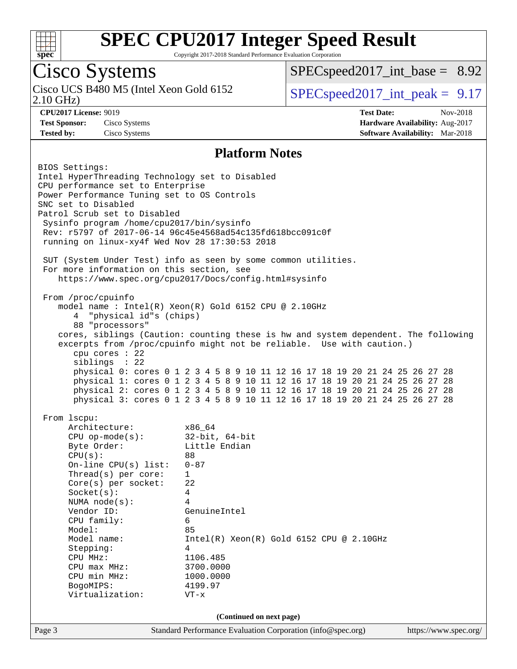

Copyright 2017-2018 Standard Performance Evaluation Corporation

## Cisco Systems

2.10 GHz) Cisco UCS B480 M5 (Intel Xeon Gold 6152  $\vert$  [SPECspeed2017\\_int\\_peak =](http://www.spec.org/auto/cpu2017/Docs/result-fields.html#SPECspeed2017intpeak) 9.17

 $SPECspeed2017\_int\_base = 8.92$ 

**[CPU2017 License:](http://www.spec.org/auto/cpu2017/Docs/result-fields.html#CPU2017License)** 9019 **[Test Date:](http://www.spec.org/auto/cpu2017/Docs/result-fields.html#TestDate)** Nov-2018 **[Test Sponsor:](http://www.spec.org/auto/cpu2017/Docs/result-fields.html#TestSponsor)** Cisco Systems **[Hardware Availability:](http://www.spec.org/auto/cpu2017/Docs/result-fields.html#HardwareAvailability)** Aug-2017 **[Tested by:](http://www.spec.org/auto/cpu2017/Docs/result-fields.html#Testedby)** Cisco Systems **[Software Availability:](http://www.spec.org/auto/cpu2017/Docs/result-fields.html#SoftwareAvailability)** Mar-2018

#### **[Platform Notes](http://www.spec.org/auto/cpu2017/Docs/result-fields.html#PlatformNotes)**

Page 3 Standard Performance Evaluation Corporation [\(info@spec.org\)](mailto:info@spec.org) <https://www.spec.org/> BIOS Settings: Intel HyperThreading Technology set to Disabled CPU performance set to Enterprise Power Performance Tuning set to OS Controls SNC set to Disabled Patrol Scrub set to Disabled Sysinfo program /home/cpu2017/bin/sysinfo Rev: r5797 of 2017-06-14 96c45e4568ad54c135fd618bcc091c0f running on linux-xy4f Wed Nov 28 17:30:53 2018 SUT (System Under Test) info as seen by some common utilities. For more information on this section, see <https://www.spec.org/cpu2017/Docs/config.html#sysinfo> From /proc/cpuinfo model name : Intel(R) Xeon(R) Gold 6152 CPU @ 2.10GHz 4 "physical id"s (chips) 88 "processors" cores, siblings (Caution: counting these is hw and system dependent. The following excerpts from /proc/cpuinfo might not be reliable. Use with caution.) cpu cores : 22 siblings : 22 physical 0: cores 0 1 2 3 4 5 8 9 10 11 12 16 17 18 19 20 21 24 25 26 27 28 physical 1: cores 0 1 2 3 4 5 8 9 10 11 12 16 17 18 19 20 21 24 25 26 27 28 physical 2: cores 0 1 2 3 4 5 8 9 10 11 12 16 17 18 19 20 21 24 25 26 27 28 physical 3: cores 0 1 2 3 4 5 8 9 10 11 12 16 17 18 19 20 21 24 25 26 27 28 From lscpu: Architecture: x86\_64 CPU op-mode(s): 32-bit, 64-bit Byte Order: Little Endian CPU(s): 88 On-line CPU(s) list: 0-87 Thread(s) per core: 1 Core(s) per socket: 22 Socket(s): 4 NUMA node(s): 4 Vendor ID: GenuineIntel CPU family: 6 Model: 85 Model name: Intel(R) Xeon(R) Gold 6152 CPU @ 2.10GHz Stepping: 4 CPU MHz: 1106.485 CPU max MHz: 3700.0000 CPU min MHz: 1000.0000 BogoMIPS: 4199.97 Virtualization: VT-x **(Continued on next page)**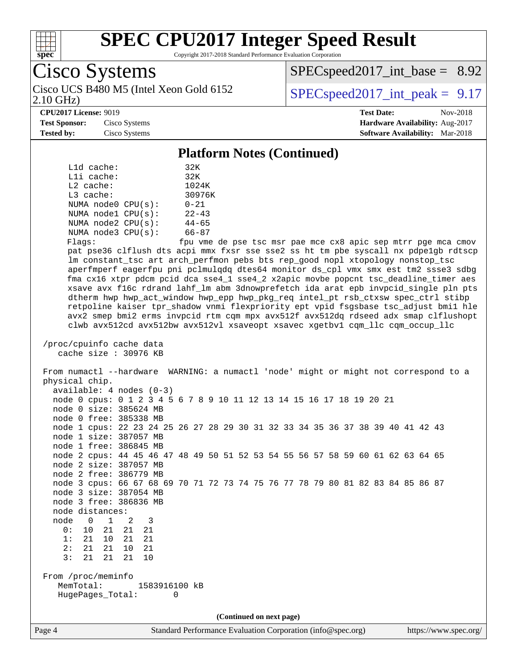

Copyright 2017-2018 Standard Performance Evaluation Corporation

Cisco Systems 2.10 GHz) Cisco UCS B480 M5 (Intel Xeon Gold 6152  $\vert$  [SPECspeed2017\\_int\\_peak =](http://www.spec.org/auto/cpu2017/Docs/result-fields.html#SPECspeed2017intpeak) 9.17

 $SPECspeed2017\_int\_base = 8.92$ 

#### **[CPU2017 License:](http://www.spec.org/auto/cpu2017/Docs/result-fields.html#CPU2017License)** 9019 **[Test Date:](http://www.spec.org/auto/cpu2017/Docs/result-fields.html#TestDate)** Nov-2018

**[Test Sponsor:](http://www.spec.org/auto/cpu2017/Docs/result-fields.html#TestSponsor)** Cisco Systems **[Hardware Availability:](http://www.spec.org/auto/cpu2017/Docs/result-fields.html#HardwareAvailability)** Aug-2017 **[Tested by:](http://www.spec.org/auto/cpu2017/Docs/result-fields.html#Testedby)** Cisco Systems **[Software Availability:](http://www.spec.org/auto/cpu2017/Docs/result-fields.html#SoftwareAvailability)** Mar-2018

#### **[Platform Notes \(Continued\)](http://www.spec.org/auto/cpu2017/Docs/result-fields.html#PlatformNotes)**

| $L1d$ cache:            | 32K       |  |  |
|-------------------------|-----------|--|--|
| Lli cache:              | 32K       |  |  |
| $L2$ cache:             | 1024K     |  |  |
| $L3$ cache:             | 30976K    |  |  |
| NUMA node0 CPU(s):      | $0 - 21$  |  |  |
| NUMA nodel CPU(s):      | $22 - 43$ |  |  |
| NUMA $node2$ $CPU(s)$ : | $44 - 65$ |  |  |
| NUMA node3 CPU(s):      | $66 - 87$ |  |  |
|                         |           |  |  |

Flags: fpu vme de pse tsc msr pae mce cx8 apic sep mtrr pge mca cmov pat pse36 clflush dts acpi mmx fxsr sse sse2 ss ht tm pbe syscall nx pdpe1gb rdtscp lm constant\_tsc art arch\_perfmon pebs bts rep\_good nopl xtopology nonstop\_tsc aperfmperf eagerfpu pni pclmulqdq dtes64 monitor ds\_cpl vmx smx est tm2 ssse3 sdbg fma cx16 xtpr pdcm pcid dca sse4\_1 sse4\_2 x2apic movbe popcnt tsc\_deadline\_timer aes xsave avx f16c rdrand lahf\_lm abm 3dnowprefetch ida arat epb invpcid\_single pln pts dtherm hwp hwp\_act\_window hwp\_epp hwp\_pkg\_req intel\_pt rsb\_ctxsw spec\_ctrl stibp retpoline kaiser tpr\_shadow vnmi flexpriority ept vpid fsgsbase tsc\_adjust bmi1 hle avx2 smep bmi2 erms invpcid rtm cqm mpx avx512f avx512dq rdseed adx smap clflushopt clwb avx512cd avx512bw avx512vl xsaveopt xsavec xgetbv1 cqm\_llc cqm\_occup\_llc

```
 /proc/cpuinfo cache data
    cache size : 30976 KB
```
 From numactl --hardware WARNING: a numactl 'node' might or might not correspond to a physical chip. available: 4 nodes (0-3) node 0 cpus: 0 1 2 3 4 5 6 7 8 9 10 11 12 13 14 15 16 17 18 19 20 21 node 0 size: 385624 MB node 0 free: 385338 MB node 1 cpus: 22 23 24 25 26 27 28 29 30 31 32 33 34 35 36 37 38 39 40 41 42 43 node 1 size: 387057 MB node 1 free: 386845 MB node 2 cpus: 44 45 46 47 48 49 50 51 52 53 54 55 56 57 58 59 60 61 62 63 64 65 node 2 size: 387057 MB node 2 free: 386779 MB node 3 cpus: 66 67 68 69 70 71 72 73 74 75 76 77 78 79 80 81 82 83 84 85 86 87 node 3 size: 387054 MB node 3 free: 386836 MB node distances: node 0 1 2 3<br>0: 10 21 21 21 0: 10 21 21 21 1: 21 10 21 21 2: 21 21 10 21 3: 21 21 21 10 From /proc/meminfo MemTotal: 1583916100 kB HugePages\_Total: 0

**(Continued on next page)**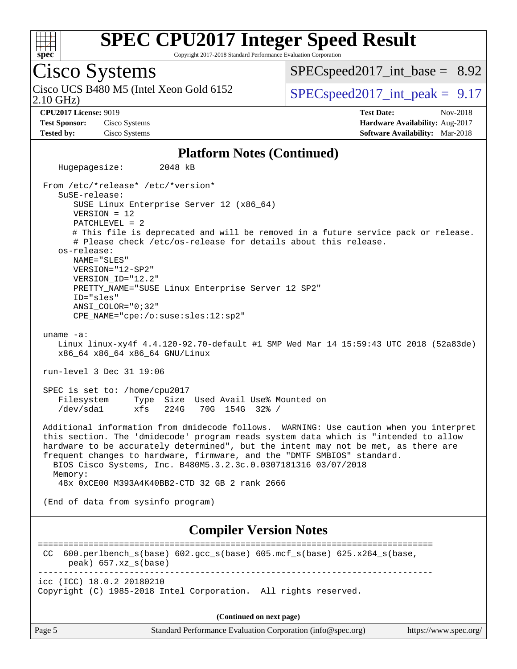

Copyright 2017-2018 Standard Performance Evaluation Corporation

## Cisco Systems

2.10 GHz) Cisco UCS B480 M5 (Intel Xeon Gold 6152  $\vert$  [SPECspeed2017\\_int\\_peak =](http://www.spec.org/auto/cpu2017/Docs/result-fields.html#SPECspeed2017intpeak) 9.17

 $SPECspeed2017\_int\_base = 8.92$ 

**[CPU2017 License:](http://www.spec.org/auto/cpu2017/Docs/result-fields.html#CPU2017License)** 9019 **[Test Date:](http://www.spec.org/auto/cpu2017/Docs/result-fields.html#TestDate)** Nov-2018 **[Test Sponsor:](http://www.spec.org/auto/cpu2017/Docs/result-fields.html#TestSponsor)** Cisco Systems **[Hardware Availability:](http://www.spec.org/auto/cpu2017/Docs/result-fields.html#HardwareAvailability)** Aug-2017 **[Tested by:](http://www.spec.org/auto/cpu2017/Docs/result-fields.html#Testedby)** Cisco Systems **[Software Availability:](http://www.spec.org/auto/cpu2017/Docs/result-fields.html#SoftwareAvailability)** Mar-2018

#### **[Platform Notes \(Continued\)](http://www.spec.org/auto/cpu2017/Docs/result-fields.html#PlatformNotes)**

 Hugepagesize: 2048 kB From /etc/\*release\* /etc/\*version\* SuSE-release: SUSE Linux Enterprise Server 12 (x86\_64) VERSION = 12 PATCHLEVEL = 2 # This file is deprecated and will be removed in a future service pack or release. # Please check /etc/os-release for details about this release. os-release: NAME="SLES" VERSION="12-SP2" VERSION\_ID="12.2" PRETTY\_NAME="SUSE Linux Enterprise Server 12 SP2" ID="sles" ANSI\_COLOR="0;32" CPE\_NAME="cpe:/o:suse:sles:12:sp2" uname -a: Linux linux-xy4f 4.4.120-92.70-default #1 SMP Wed Mar 14 15:59:43 UTC 2018 (52a83de) x86\_64 x86\_64 x86\_64 GNU/Linux run-level 3 Dec 31 19:06 SPEC is set to: /home/cpu2017 Filesystem Type Size Used Avail Use% Mounted on /dev/sda1 xfs 224G 70G 154G 32% / Additional information from dmidecode follows. WARNING: Use caution when you interpret this section. The 'dmidecode' program reads system data which is "intended to allow hardware to be accurately determined", but the intent may not be met, as there are frequent changes to hardware, firmware, and the "DMTF SMBIOS" standard. BIOS Cisco Systems, Inc. B480M5.3.2.3c.0.0307181316 03/07/2018 Memory: 48x 0xCE00 M393A4K40BB2-CTD 32 GB 2 rank 2666 (End of data from sysinfo program) **[Compiler Version Notes](http://www.spec.org/auto/cpu2017/Docs/result-fields.html#CompilerVersionNotes)** ============================================================================== CC 600.perlbench\_s(base) 602.gcc\_s(base) 605.mcf\_s(base) 625.x264\_s(base, peak) 657.xz\_s(base) ----------------------------------------------------------------------------- icc (ICC) 18.0.2 20180210 Copyright (C) 1985-2018 Intel Corporation. All rights reserved. **(Continued on next page)**

Page 5 Standard Performance Evaluation Corporation [\(info@spec.org\)](mailto:info@spec.org) <https://www.spec.org/>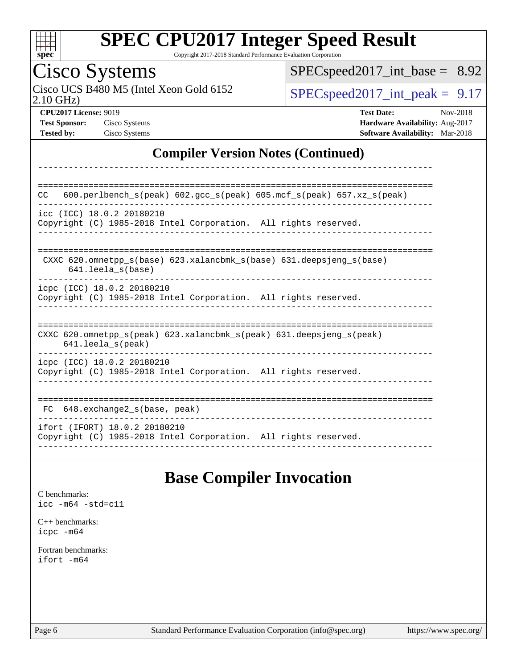

Copyright 2017-2018 Standard Performance Evaluation Corporation

## Cisco Systems

2.10 GHz) Cisco UCS B480 M5 (Intel Xeon Gold 6152  $SPEC speed2017\_int\_peak = 9.17$ 

[SPECspeed2017\\_int\\_base =](http://www.spec.org/auto/cpu2017/Docs/result-fields.html#SPECspeed2017intbase) 8.92

**[CPU2017 License:](http://www.spec.org/auto/cpu2017/Docs/result-fields.html#CPU2017License)** 9019 **[Test Date:](http://www.spec.org/auto/cpu2017/Docs/result-fields.html#TestDate)** Nov-2018 **[Test Sponsor:](http://www.spec.org/auto/cpu2017/Docs/result-fields.html#TestSponsor)** Cisco Systems **[Hardware Availability:](http://www.spec.org/auto/cpu2017/Docs/result-fields.html#HardwareAvailability)** Aug-2017 **[Tested by:](http://www.spec.org/auto/cpu2017/Docs/result-fields.html#Testedby)** Cisco Systems **[Software Availability:](http://www.spec.org/auto/cpu2017/Docs/result-fields.html#SoftwareAvailability)** Mar-2018

#### **[Compiler Version Notes \(Continued\)](http://www.spec.org/auto/cpu2017/Docs/result-fields.html#CompilerVersionNotes)**

| 600.perlbench $s$ (peak) 602.gcc $s$ (peak) 605.mcf $s$ (peak) 657.xz $s$ (peak)<br><b>CC</b>                              |
|----------------------------------------------------------------------------------------------------------------------------|
| icc (ICC) 18.0.2 20180210<br>Copyright (C) 1985-2018 Intel Corporation. All rights reserved.                               |
| CXXC 620.omnetpp $s(base)$ 623.xalancbmk $s(base)$ 631.deepsjeng $s(base)$<br>$641.$ leela $s$ (base)                      |
| icpc (ICC) 18.0.2 20180210<br>Copyright (C) 1985-2018 Intel Corporation. All rights reserved.                              |
| CXXC 620.omnetpp $s(\text{peak})$ 623.xalancbmk $s(\text{peak})$ 631.deepsjeng $s(\text{peak})$<br>$641.$ leela $s$ (peak) |
| icpc (ICC) 18.0.2 20180210<br>Copyright (C) 1985-2018 Intel Corporation. All rights reserved.                              |
| 648.exchange2 s(base, peak)<br>FC.                                                                                         |
| ifort (IFORT) 18.0.2 20180210<br>Copyright (C) 1985-2018 Intel Corporation. All rights reserved.                           |

### **[Base Compiler Invocation](http://www.spec.org/auto/cpu2017/Docs/result-fields.html#BaseCompilerInvocation)**

[C benchmarks](http://www.spec.org/auto/cpu2017/Docs/result-fields.html#Cbenchmarks): [icc -m64 -std=c11](http://www.spec.org/cpu2017/results/res2018q4/cpu2017-20181211-10304.flags.html#user_CCbase_intel_icc_64bit_c11_33ee0cdaae7deeeab2a9725423ba97205ce30f63b9926c2519791662299b76a0318f32ddfffdc46587804de3178b4f9328c46fa7c2b0cd779d7a61945c91cd35)

[C++ benchmarks:](http://www.spec.org/auto/cpu2017/Docs/result-fields.html#CXXbenchmarks) [icpc -m64](http://www.spec.org/cpu2017/results/res2018q4/cpu2017-20181211-10304.flags.html#user_CXXbase_intel_icpc_64bit_4ecb2543ae3f1412ef961e0650ca070fec7b7afdcd6ed48761b84423119d1bf6bdf5cad15b44d48e7256388bc77273b966e5eb805aefd121eb22e9299b2ec9d9)

[Fortran benchmarks](http://www.spec.org/auto/cpu2017/Docs/result-fields.html#Fortranbenchmarks): [ifort -m64](http://www.spec.org/cpu2017/results/res2018q4/cpu2017-20181211-10304.flags.html#user_FCbase_intel_ifort_64bit_24f2bb282fbaeffd6157abe4f878425411749daecae9a33200eee2bee2fe76f3b89351d69a8130dd5949958ce389cf37ff59a95e7a40d588e8d3a57e0c3fd751)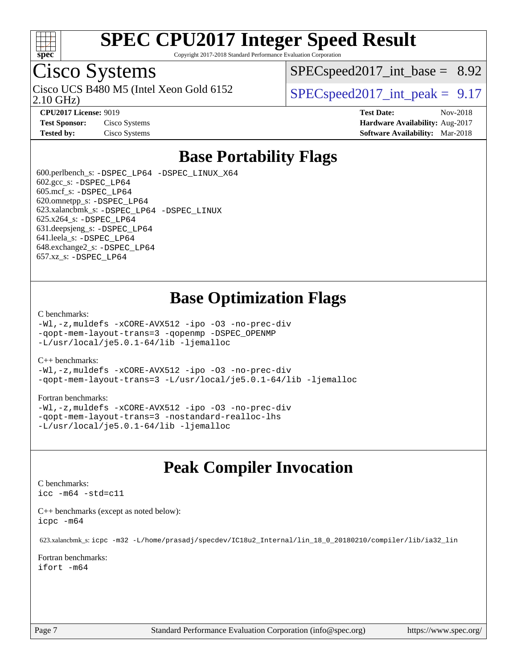

Copyright 2017-2018 Standard Performance Evaluation Corporation

## Cisco Systems

2.10 GHz) Cisco UCS B480 M5 (Intel Xeon Gold 6152  $\vert$  [SPECspeed2017\\_int\\_peak =](http://www.spec.org/auto/cpu2017/Docs/result-fields.html#SPECspeed2017intpeak) 9.17

 $SPECspeed2017\_int\_base = 8.92$ 

**[CPU2017 License:](http://www.spec.org/auto/cpu2017/Docs/result-fields.html#CPU2017License)** 9019 **[Test Date:](http://www.spec.org/auto/cpu2017/Docs/result-fields.html#TestDate)** Nov-2018 **[Test Sponsor:](http://www.spec.org/auto/cpu2017/Docs/result-fields.html#TestSponsor)** Cisco Systems **[Hardware Availability:](http://www.spec.org/auto/cpu2017/Docs/result-fields.html#HardwareAvailability)** Aug-2017 **[Tested by:](http://www.spec.org/auto/cpu2017/Docs/result-fields.html#Testedby)** Cisco Systems **[Software Availability:](http://www.spec.org/auto/cpu2017/Docs/result-fields.html#SoftwareAvailability)** Mar-2018

### **[Base Portability Flags](http://www.spec.org/auto/cpu2017/Docs/result-fields.html#BasePortabilityFlags)**

 600.perlbench\_s: [-DSPEC\\_LP64](http://www.spec.org/cpu2017/results/res2018q4/cpu2017-20181211-10304.flags.html#b600.perlbench_s_basePORTABILITY_DSPEC_LP64) [-DSPEC\\_LINUX\\_X64](http://www.spec.org/cpu2017/results/res2018q4/cpu2017-20181211-10304.flags.html#b600.perlbench_s_baseCPORTABILITY_DSPEC_LINUX_X64) 602.gcc\_s: [-DSPEC\\_LP64](http://www.spec.org/cpu2017/results/res2018q4/cpu2017-20181211-10304.flags.html#suite_basePORTABILITY602_gcc_s_DSPEC_LP64) 605.mcf\_s: [-DSPEC\\_LP64](http://www.spec.org/cpu2017/results/res2018q4/cpu2017-20181211-10304.flags.html#suite_basePORTABILITY605_mcf_s_DSPEC_LP64) 620.omnetpp\_s: [-DSPEC\\_LP64](http://www.spec.org/cpu2017/results/res2018q4/cpu2017-20181211-10304.flags.html#suite_basePORTABILITY620_omnetpp_s_DSPEC_LP64) 623.xalancbmk\_s: [-DSPEC\\_LP64](http://www.spec.org/cpu2017/results/res2018q4/cpu2017-20181211-10304.flags.html#suite_basePORTABILITY623_xalancbmk_s_DSPEC_LP64) [-DSPEC\\_LINUX](http://www.spec.org/cpu2017/results/res2018q4/cpu2017-20181211-10304.flags.html#b623.xalancbmk_s_baseCXXPORTABILITY_DSPEC_LINUX) 625.x264\_s: [-DSPEC\\_LP64](http://www.spec.org/cpu2017/results/res2018q4/cpu2017-20181211-10304.flags.html#suite_basePORTABILITY625_x264_s_DSPEC_LP64) 631.deepsjeng\_s: [-DSPEC\\_LP64](http://www.spec.org/cpu2017/results/res2018q4/cpu2017-20181211-10304.flags.html#suite_basePORTABILITY631_deepsjeng_s_DSPEC_LP64) 641.leela\_s: [-DSPEC\\_LP64](http://www.spec.org/cpu2017/results/res2018q4/cpu2017-20181211-10304.flags.html#suite_basePORTABILITY641_leela_s_DSPEC_LP64) 648.exchange2\_s: [-DSPEC\\_LP64](http://www.spec.org/cpu2017/results/res2018q4/cpu2017-20181211-10304.flags.html#suite_basePORTABILITY648_exchange2_s_DSPEC_LP64) 657.xz\_s: [-DSPEC\\_LP64](http://www.spec.org/cpu2017/results/res2018q4/cpu2017-20181211-10304.flags.html#suite_basePORTABILITY657_xz_s_DSPEC_LP64)

### **[Base Optimization Flags](http://www.spec.org/auto/cpu2017/Docs/result-fields.html#BaseOptimizationFlags)**

#### [C benchmarks](http://www.spec.org/auto/cpu2017/Docs/result-fields.html#Cbenchmarks):

[-Wl,-z,muldefs](http://www.spec.org/cpu2017/results/res2018q4/cpu2017-20181211-10304.flags.html#user_CCbase_link_force_multiple1_b4cbdb97b34bdee9ceefcfe54f4c8ea74255f0b02a4b23e853cdb0e18eb4525ac79b5a88067c842dd0ee6996c24547a27a4b99331201badda8798ef8a743f577) [-xCORE-AVX512](http://www.spec.org/cpu2017/results/res2018q4/cpu2017-20181211-10304.flags.html#user_CCbase_f-xCORE-AVX512) [-ipo](http://www.spec.org/cpu2017/results/res2018q4/cpu2017-20181211-10304.flags.html#user_CCbase_f-ipo) [-O3](http://www.spec.org/cpu2017/results/res2018q4/cpu2017-20181211-10304.flags.html#user_CCbase_f-O3) [-no-prec-div](http://www.spec.org/cpu2017/results/res2018q4/cpu2017-20181211-10304.flags.html#user_CCbase_f-no-prec-div) [-qopt-mem-layout-trans=3](http://www.spec.org/cpu2017/results/res2018q4/cpu2017-20181211-10304.flags.html#user_CCbase_f-qopt-mem-layout-trans_de80db37974c74b1f0e20d883f0b675c88c3b01e9d123adea9b28688d64333345fb62bc4a798493513fdb68f60282f9a726aa07f478b2f7113531aecce732043) [-qopenmp](http://www.spec.org/cpu2017/results/res2018q4/cpu2017-20181211-10304.flags.html#user_CCbase_qopenmp_16be0c44f24f464004c6784a7acb94aca937f053568ce72f94b139a11c7c168634a55f6653758ddd83bcf7b8463e8028bb0b48b77bcddc6b78d5d95bb1df2967) [-DSPEC\\_OPENMP](http://www.spec.org/cpu2017/results/res2018q4/cpu2017-20181211-10304.flags.html#suite_CCbase_DSPEC_OPENMP) [-L/usr/local/je5.0.1-64/lib](http://www.spec.org/cpu2017/results/res2018q4/cpu2017-20181211-10304.flags.html#user_CCbase_jemalloc_link_path64_4b10a636b7bce113509b17f3bd0d6226c5fb2346b9178c2d0232c14f04ab830f976640479e5c33dc2bcbbdad86ecfb6634cbbd4418746f06f368b512fced5394) [-ljemalloc](http://www.spec.org/cpu2017/results/res2018q4/cpu2017-20181211-10304.flags.html#user_CCbase_jemalloc_link_lib_d1249b907c500fa1c0672f44f562e3d0f79738ae9e3c4a9c376d49f265a04b9c99b167ecedbf6711b3085be911c67ff61f150a17b3472be731631ba4d0471706)

#### [C++ benchmarks:](http://www.spec.org/auto/cpu2017/Docs/result-fields.html#CXXbenchmarks)

[-Wl,-z,muldefs](http://www.spec.org/cpu2017/results/res2018q4/cpu2017-20181211-10304.flags.html#user_CXXbase_link_force_multiple1_b4cbdb97b34bdee9ceefcfe54f4c8ea74255f0b02a4b23e853cdb0e18eb4525ac79b5a88067c842dd0ee6996c24547a27a4b99331201badda8798ef8a743f577) [-xCORE-AVX512](http://www.spec.org/cpu2017/results/res2018q4/cpu2017-20181211-10304.flags.html#user_CXXbase_f-xCORE-AVX512) [-ipo](http://www.spec.org/cpu2017/results/res2018q4/cpu2017-20181211-10304.flags.html#user_CXXbase_f-ipo) [-O3](http://www.spec.org/cpu2017/results/res2018q4/cpu2017-20181211-10304.flags.html#user_CXXbase_f-O3) [-no-prec-div](http://www.spec.org/cpu2017/results/res2018q4/cpu2017-20181211-10304.flags.html#user_CXXbase_f-no-prec-div) [-qopt-mem-layout-trans=3](http://www.spec.org/cpu2017/results/res2018q4/cpu2017-20181211-10304.flags.html#user_CXXbase_f-qopt-mem-layout-trans_de80db37974c74b1f0e20d883f0b675c88c3b01e9d123adea9b28688d64333345fb62bc4a798493513fdb68f60282f9a726aa07f478b2f7113531aecce732043) [-L/usr/local/je5.0.1-64/lib](http://www.spec.org/cpu2017/results/res2018q4/cpu2017-20181211-10304.flags.html#user_CXXbase_jemalloc_link_path64_4b10a636b7bce113509b17f3bd0d6226c5fb2346b9178c2d0232c14f04ab830f976640479e5c33dc2bcbbdad86ecfb6634cbbd4418746f06f368b512fced5394) [-ljemalloc](http://www.spec.org/cpu2017/results/res2018q4/cpu2017-20181211-10304.flags.html#user_CXXbase_jemalloc_link_lib_d1249b907c500fa1c0672f44f562e3d0f79738ae9e3c4a9c376d49f265a04b9c99b167ecedbf6711b3085be911c67ff61f150a17b3472be731631ba4d0471706)

#### [Fortran benchmarks](http://www.spec.org/auto/cpu2017/Docs/result-fields.html#Fortranbenchmarks):

[-Wl,-z,muldefs](http://www.spec.org/cpu2017/results/res2018q4/cpu2017-20181211-10304.flags.html#user_FCbase_link_force_multiple1_b4cbdb97b34bdee9ceefcfe54f4c8ea74255f0b02a4b23e853cdb0e18eb4525ac79b5a88067c842dd0ee6996c24547a27a4b99331201badda8798ef8a743f577) [-xCORE-AVX512](http://www.spec.org/cpu2017/results/res2018q4/cpu2017-20181211-10304.flags.html#user_FCbase_f-xCORE-AVX512) [-ipo](http://www.spec.org/cpu2017/results/res2018q4/cpu2017-20181211-10304.flags.html#user_FCbase_f-ipo) [-O3](http://www.spec.org/cpu2017/results/res2018q4/cpu2017-20181211-10304.flags.html#user_FCbase_f-O3) [-no-prec-div](http://www.spec.org/cpu2017/results/res2018q4/cpu2017-20181211-10304.flags.html#user_FCbase_f-no-prec-div) [-qopt-mem-layout-trans=3](http://www.spec.org/cpu2017/results/res2018q4/cpu2017-20181211-10304.flags.html#user_FCbase_f-qopt-mem-layout-trans_de80db37974c74b1f0e20d883f0b675c88c3b01e9d123adea9b28688d64333345fb62bc4a798493513fdb68f60282f9a726aa07f478b2f7113531aecce732043) [-nostandard-realloc-lhs](http://www.spec.org/cpu2017/results/res2018q4/cpu2017-20181211-10304.flags.html#user_FCbase_f_2003_std_realloc_82b4557e90729c0f113870c07e44d33d6f5a304b4f63d4c15d2d0f1fab99f5daaed73bdb9275d9ae411527f28b936061aa8b9c8f2d63842963b95c9dd6426b8a) [-L/usr/local/je5.0.1-64/lib](http://www.spec.org/cpu2017/results/res2018q4/cpu2017-20181211-10304.flags.html#user_FCbase_jemalloc_link_path64_4b10a636b7bce113509b17f3bd0d6226c5fb2346b9178c2d0232c14f04ab830f976640479e5c33dc2bcbbdad86ecfb6634cbbd4418746f06f368b512fced5394) [-ljemalloc](http://www.spec.org/cpu2017/results/res2018q4/cpu2017-20181211-10304.flags.html#user_FCbase_jemalloc_link_lib_d1249b907c500fa1c0672f44f562e3d0f79738ae9e3c4a9c376d49f265a04b9c99b167ecedbf6711b3085be911c67ff61f150a17b3472be731631ba4d0471706)

### **[Peak Compiler Invocation](http://www.spec.org/auto/cpu2017/Docs/result-fields.html#PeakCompilerInvocation)**

#### [C benchmarks](http://www.spec.org/auto/cpu2017/Docs/result-fields.html#Cbenchmarks):

[icc -m64 -std=c11](http://www.spec.org/cpu2017/results/res2018q4/cpu2017-20181211-10304.flags.html#user_CCpeak_intel_icc_64bit_c11_33ee0cdaae7deeeab2a9725423ba97205ce30f63b9926c2519791662299b76a0318f32ddfffdc46587804de3178b4f9328c46fa7c2b0cd779d7a61945c91cd35)

[C++ benchmarks \(except as noted below\):](http://www.spec.org/auto/cpu2017/Docs/result-fields.html#CXXbenchmarksexceptasnotedbelow) [icpc -m64](http://www.spec.org/cpu2017/results/res2018q4/cpu2017-20181211-10304.flags.html#user_CXXpeak_intel_icpc_64bit_4ecb2543ae3f1412ef961e0650ca070fec7b7afdcd6ed48761b84423119d1bf6bdf5cad15b44d48e7256388bc77273b966e5eb805aefd121eb22e9299b2ec9d9)

623.xalancbmk\_s: [icpc -m32 -L/home/prasadj/specdev/IC18u2\\_Internal/lin\\_18\\_0\\_20180210/compiler/lib/ia32\\_lin](http://www.spec.org/cpu2017/results/res2018q4/cpu2017-20181211-10304.flags.html#user_peakCXXLD623_xalancbmk_s_intel_icpc_c6d030cd79af6ea7d6fb64c57e8fe7ae8fe0b96fc5a3b3f4a10e3273b3d7fa9decd8263f6330cef23f751cb093a69fae84a2bf4c243500a8eed069248128076f)

[Fortran benchmarks](http://www.spec.org/auto/cpu2017/Docs/result-fields.html#Fortranbenchmarks): [ifort -m64](http://www.spec.org/cpu2017/results/res2018q4/cpu2017-20181211-10304.flags.html#user_FCpeak_intel_ifort_64bit_24f2bb282fbaeffd6157abe4f878425411749daecae9a33200eee2bee2fe76f3b89351d69a8130dd5949958ce389cf37ff59a95e7a40d588e8d3a57e0c3fd751)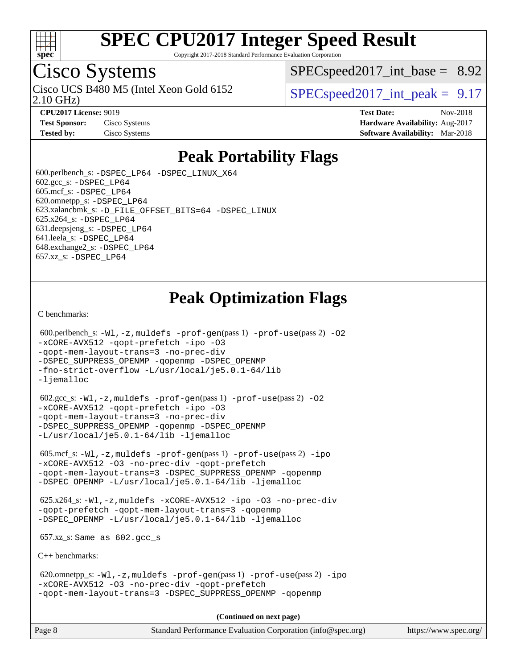

Copyright 2017-2018 Standard Performance Evaluation Corporation

## Cisco Systems

2.10 GHz) Cisco UCS B480 M5 (Intel Xeon Gold 6152  $\vert$  [SPECspeed2017\\_int\\_peak =](http://www.spec.org/auto/cpu2017/Docs/result-fields.html#SPECspeed2017intpeak) 9.17

 $SPECspeed2017\_int\_base = 8.92$ 

**[CPU2017 License:](http://www.spec.org/auto/cpu2017/Docs/result-fields.html#CPU2017License)** 9019 **[Test Date:](http://www.spec.org/auto/cpu2017/Docs/result-fields.html#TestDate)** Nov-2018 **[Test Sponsor:](http://www.spec.org/auto/cpu2017/Docs/result-fields.html#TestSponsor)** Cisco Systems **Cisco Systems [Hardware Availability:](http://www.spec.org/auto/cpu2017/Docs/result-fields.html#HardwareAvailability)** Aug-2017 **[Tested by:](http://www.spec.org/auto/cpu2017/Docs/result-fields.html#Testedby)** Cisco Systems **[Software Availability:](http://www.spec.org/auto/cpu2017/Docs/result-fields.html#SoftwareAvailability)** Mar-2018

### **[Peak Portability Flags](http://www.spec.org/auto/cpu2017/Docs/result-fields.html#PeakPortabilityFlags)**

 600.perlbench\_s: [-DSPEC\\_LP64](http://www.spec.org/cpu2017/results/res2018q4/cpu2017-20181211-10304.flags.html#b600.perlbench_s_peakPORTABILITY_DSPEC_LP64) [-DSPEC\\_LINUX\\_X64](http://www.spec.org/cpu2017/results/res2018q4/cpu2017-20181211-10304.flags.html#b600.perlbench_s_peakCPORTABILITY_DSPEC_LINUX_X64)  $602.\text{gcc}\$ s:  $-DSPEC$  LP64 605.mcf\_s: [-DSPEC\\_LP64](http://www.spec.org/cpu2017/results/res2018q4/cpu2017-20181211-10304.flags.html#suite_peakPORTABILITY605_mcf_s_DSPEC_LP64) 620.omnetpp\_s: [-DSPEC\\_LP64](http://www.spec.org/cpu2017/results/res2018q4/cpu2017-20181211-10304.flags.html#suite_peakPORTABILITY620_omnetpp_s_DSPEC_LP64) 623.xalancbmk\_s: [-D\\_FILE\\_OFFSET\\_BITS=64](http://www.spec.org/cpu2017/results/res2018q4/cpu2017-20181211-10304.flags.html#user_peakPORTABILITY623_xalancbmk_s_file_offset_bits_64_5ae949a99b284ddf4e95728d47cb0843d81b2eb0e18bdfe74bbf0f61d0b064f4bda2f10ea5eb90e1dcab0e84dbc592acfc5018bc955c18609f94ddb8d550002c) [-DSPEC\\_LINUX](http://www.spec.org/cpu2017/results/res2018q4/cpu2017-20181211-10304.flags.html#b623.xalancbmk_s_peakCXXPORTABILITY_DSPEC_LINUX) 625.x264\_s: [-DSPEC\\_LP64](http://www.spec.org/cpu2017/results/res2018q4/cpu2017-20181211-10304.flags.html#suite_peakPORTABILITY625_x264_s_DSPEC_LP64) 631.deepsjeng\_s: [-DSPEC\\_LP64](http://www.spec.org/cpu2017/results/res2018q4/cpu2017-20181211-10304.flags.html#suite_peakPORTABILITY631_deepsjeng_s_DSPEC_LP64) 641.leela\_s: [-DSPEC\\_LP64](http://www.spec.org/cpu2017/results/res2018q4/cpu2017-20181211-10304.flags.html#suite_peakPORTABILITY641_leela_s_DSPEC_LP64) 648.exchange2\_s: [-DSPEC\\_LP64](http://www.spec.org/cpu2017/results/res2018q4/cpu2017-20181211-10304.flags.html#suite_peakPORTABILITY648_exchange2_s_DSPEC_LP64) 657.xz\_s: [-DSPEC\\_LP64](http://www.spec.org/cpu2017/results/res2018q4/cpu2017-20181211-10304.flags.html#suite_peakPORTABILITY657_xz_s_DSPEC_LP64)

## **[Peak Optimization Flags](http://www.spec.org/auto/cpu2017/Docs/result-fields.html#PeakOptimizationFlags)**

[C benchmarks](http://www.spec.org/auto/cpu2017/Docs/result-fields.html#Cbenchmarks):

```
600.perlbench_s: -W1-prof-gen-prof-use(pass 2) -02
-xCORE-AVX512 -qopt-prefetch -ipo -O3
-qopt-mem-layout-trans=3 -no-prec-div
-DSPEC_SUPPRESS_OPENMP -qopenmp -DSPEC_OPENMP
-fno-strict-overflow -L/usr/local/je5.0.1-64/lib
-ljemalloc
 602.gcc_s: -Wl,-z,muldefs -prof-gen(pass 1) -prof-use(pass 2) -O2
-xCORE-AVX512 -qopt-prefetch -ipo -O3
-qopt-mem-layout-trans=3 -no-prec-div
-DSPEC_SUPPRESS_OPENMP -qopenmp -DSPEC_OPENMP
-L/usr/local/je5.0.1-64/lib -ljemalloc
 605.mcf_s: -Wl,-z,muldefs -prof-gen(pass 1) -prof-use(pass 2) -ipo
-xCORE-AVX512 -O3 -no-prec-div -qopt-prefetch
-qopt-mem-layout-trans=3 -DSPEC_SUPPRESS_OPENMP -qopenmp
-DSPEC_OPENMP -L/usr/local/je5.0.1-64/lib -ljemalloc
 625.x264_s: -Wl,-z,muldefs -xCORE-AVX512 -ipo -O3 -no-prec-div
-qopt-prefetch -qopt-mem-layout-trans=3 -qopenmp
-DSPEC_OPENMP -L/usr/local/je5.0.1-64/lib -ljemalloc
 657.xz_s: Same as 602.gcc_s
C++ benchmarks: 
 620.omnetpp_s: -Wl,-z,muldefs -prof-gen(pass 1) -prof-use(pass 2) -ipo
-xCORE-AVX512 -O3 -no-prec-div -qopt-prefetch
-qopt-mem-layout-trans=3 -DSPEC_SUPPRESS_OPENMP -qopenmp
                                     (Continued on next page)
```